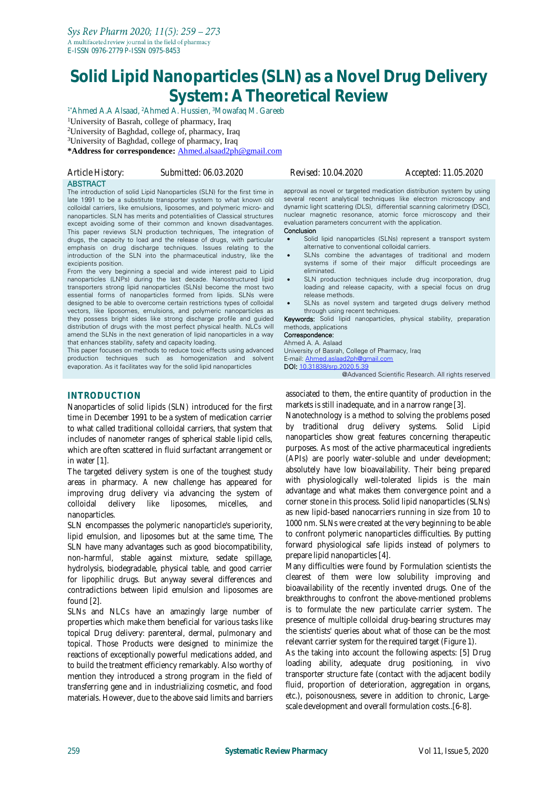# **Solid Lipid Nanoparticles (SLN) as a Novel Drug Delivery System: A Theoretical Review**

1\*Ahmed A.A Alsaad, <sup>2</sup>Ahmed A. Hussien, <sup>3</sup>Mowafaq M. Gareeb

<sup>1</sup>University of Basrah, college of pharmacy, Iraq

<sup>2</sup>University of Baghdad, college of, pharmacy, Iraq

<sup>3</sup>University of Baghdad, college of pharmacy, Iraq

**\*Address for correspondence:** [Ahmed.alsaad2ph@gmail.com](mailto:Ahmed.alsaad2ph@gmail.com)

| Article History: | Submitted: 06.03.2020                                                   |
|------------------|-------------------------------------------------------------------------|
| <b>ABSTRACT</b>  |                                                                         |
|                  | The intensional of actival limid Nanonamialas (CLNN for the first times |

The introduction of solid Lipid Nanoparticles (SLN) for the first time in late 1991 to be a substitute transporter system to what known old colloidal carriers, like emulsions, liposomes, and polymeric micro- and nanoparticles. SLN has merits and potentialities of Classical structures except avoiding some of their common and known disadvantages. This paper reviews SLN production techniques, The integration of drugs, the capacity to load and the release of drugs, with particular emphasis on drug discharge techniques. Issues relating to the introduction of the SLN into the pharmaceutical industry, like the excipients position.

From the very beginning a special and wide interest paid to Lipid nanoparticles (LNPs) during the last decade. Nanostructured lipid transporters strong lipid nanoparticles (SLNs) become the most two essential forms of nanoparticles formed from lipids. SLNs were designed to be able to overcome certain restrictions types of colloidal vectors, like liposomes, emulsions, and polymeric nanoparticles as they possess bright sides like strong discharge profile and guided distribution of drugs with the most perfect physical health. NLCs will amend the SLNs in the next generation of lipid nanoparticles in a way that enhances stability, safety and capacity loading.

This paper focuses on methods to reduce toxic effects using advanced production techniques such as homogenization and solvent evaporation. As it facilitates way for the solid lipid nanoparticles

# **INTRODUCTION**

Nanoparticles of solid lipids (SLN) introduced for the first time in December 1991 to be a system of medication carrier to what called traditional colloidal carriers, that system that includes of nanometer ranges of spherical stable lipid cells, which are often scattered in fluid surfactant arrangement or in water [1].

The targeted delivery system is one of the toughest study areas in pharmacy. A new challenge has appeared for improving drug delivery via advancing the system of colloidal delivery like liposomes, micelles, and nanoparticles.

SLN encompasses the polymeric nanoparticle's superiority, lipid emulsion, and liposomes but at the same time, The SLN have many advantages such as good biocompatibility, non-harmful, stable against mixture, sedate spillage, hydrolysis, biodegradable, physical table, and good carrier for lipophilic drugs. But anyway several differences and contradictions between lipid emulsion and liposomes are found [2].

SLNs and NLCs have an amazingly large number of properties which make them beneficial for various tasks like topical Drug delivery: parenteral, dermal, pulmonary and topical. Those Products were designed to minimize the reactions of exceptionally powerful medications added, and to build the treatment efficiency remarkably. Also worthy of mention they introduced a strong program in the field of transferring gene and in industrializing cosmetic, and food materials. However, due to the above said limits and barriers

*Article History: Submitted: 06.03.2020 Revised: 10.04.2020 Accepted: 11.05.2020*

approval as novel or targeted medication distribution system by using several recent analytical techniques like electron microscopy and dynamic light scattering (DLS), differential scanning calorimetry (DSC), nuclear magnetic resonance, atomic force microscopy and their evaluation parameters concurrent with the application.

- Conclusion
- Solid lipid nanoparticles (SLNs) represent a transport system alternative to conventional colloidal carriers.
- SLNs combine the advantages of traditional and modern systems if some of their major difficult proceedings are eliminated.
- SLN production techniques include drug incorporation, drug loading and release capacity, with a special focus on drug release methods.
- SLNs as novel system and targeted drugs delivery method through using recent techniques.

Keywords: Solid lipid nanoparticles, physical stability, preparation methods, applications

#### Correspondence:

Ahmed A. A. Aslaad University of Basrah, College of Pharmacy, Iraq E-mail: [Ahmed.aslaad2ph@gmail.com](mailto:Ahmed.aslaad2ph@gmail.com) DOI: [10.31838/srp.2020.5.39](http://dx.doi.org/10.5530/srp.2019.2.04)

@Advanced Scientific Research. All rights reserved

associated to them, the entire quantity of production in the markets is still inadequate, and in a narrow range [3].

Nanotechnology is a method to solving the problems posed by traditional drug delivery systems. Solid Lipid nanoparticles show great features concerning therapeutic purposes. As most of the active pharmaceutical ingredients (APIs) are poorly water-soluble and under development; absolutely have low bioavailability. Their being prepared with physiologically well-tolerated lipids is the main advantage and what makes them convergence point and a corner stone in this process. Solid lipid nanoparticles (SLNs) as new lipid-based nanocarriers running in size from 10 to 1000 nm. SLNs were created at the very beginning to be able to confront polymeric nanoparticles difficulties. By putting forward physiological safe lipids instead of polymers to prepare lipid nanoparticles [4].

Many difficulties were found by Formulation scientists the clearest of them were low solubility improving and bioavailability of the recently invented drugs. One of the breakthroughs to confront the above-mentioned problems is to formulate the new particulate carrier system. The presence of multiple colloidal drug-bearing structures may the scientists' queries about what of those can be the most relevant carrier system for the required target (Figure 1).

As the taking into account the following aspects: [5] Drug loading ability, adequate drug positioning, in vivo transporter structure fate (contact with the adjacent bodily fluid, proportion of deterioration, aggregation in organs, etc.), poisonousness, severe in addition to chronic, Largescale development and overall formulation costs..[6-8].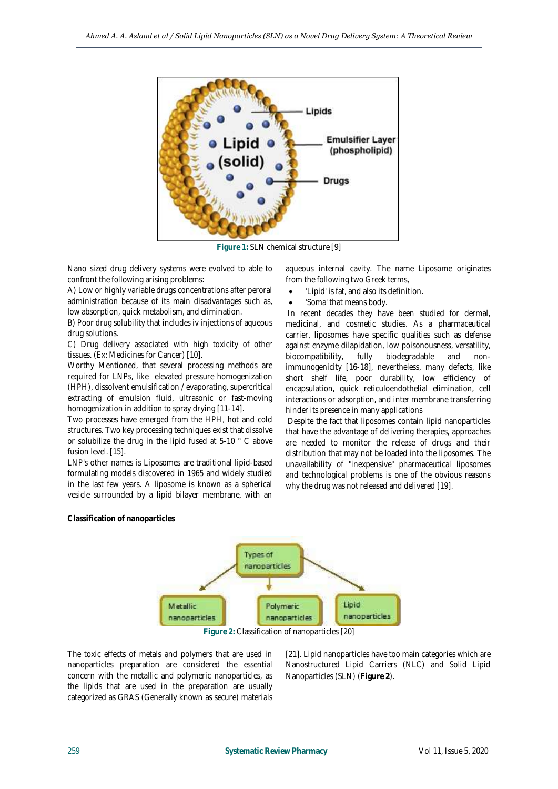

**Figure 1:** SLN chemical structure [9]

Nano sized drug delivery systems were evolved to able to confront the following arising problems:

A) Low or highly variable drugs concentrations after peroral administration because of its main disadvantages such as, low absorption, quick metabolism, and elimination.

B) Poor drug solubility that includes iv injections of aqueous drug solutions.

C) Drug delivery associated with high toxicity of other tissues. (Ex: Medicines for Cancer) [10].

Worthy Mentioned, that several processing methods are required for LNPs, like elevated pressure homogenization (HPH), dissolvent emulsification / evaporating, supercritical extracting of emulsion fluid, ultrasonic or fast-moving homogenization in addition to spray drying [11-14].

Two processes have emerged from the HPH, hot and cold structures. Two key processing techniques exist that dissolve or solubilize the drug in the lipid fused at 5-10 ° C above fusion level. [15].

LNP's other names is Liposomes are traditional lipid-based formulating models discovered in 1965 and widely studied in the last few years. A liposome is known as a spherical vesicle surrounded by a lipid bilayer membrane, with an

aqueous internal cavity. The name Liposome originates from the following two Greek terms,

- 'Lipid' is fat, and also its definition.
- 'Soma' that means body.

In recent decades they have been studied for dermal, medicinal, and cosmetic studies. As a pharmaceutical carrier, liposomes have specific qualities such as defense against enzyme dilapidation, low poisonousness, versatility, biocompatibility, fully biodegradable and nonimmunogenicity [16-18], nevertheless, many defects, like short shelf life, poor durability, low efficiency of encapsulation, quick reticuloendothelial elimination, cell interactions or adsorption, and inter membrane transferring hinder its presence in many applications

Despite the fact that liposomes contain lipid nanoparticles that have the advantage of delivering therapies, approaches are needed to monitor the release of drugs and their distribution that may not be loaded into the liposomes. The unavailability of "inexpensive" pharmaceutical liposomes and technological problems is one of the obvious reasons why the drug was not released and delivered [19].

### **Classification of nanoparticles**



**Figure 2:** Classification of nanoparticles [20]

The toxic effects of metals and polymers that are used in nanoparticles preparation are considered the essential concern with the metallic and polymeric nanoparticles, as the lipids that are used in the preparation are usually categorized as GRAS (Generally known as secure) materials

[21]. Lipid nanoparticles have too main categories which are Nanostructured Lipid Carriers (NLC) and Solid Lipid Nanoparticles (SLN) (**Figure 2**).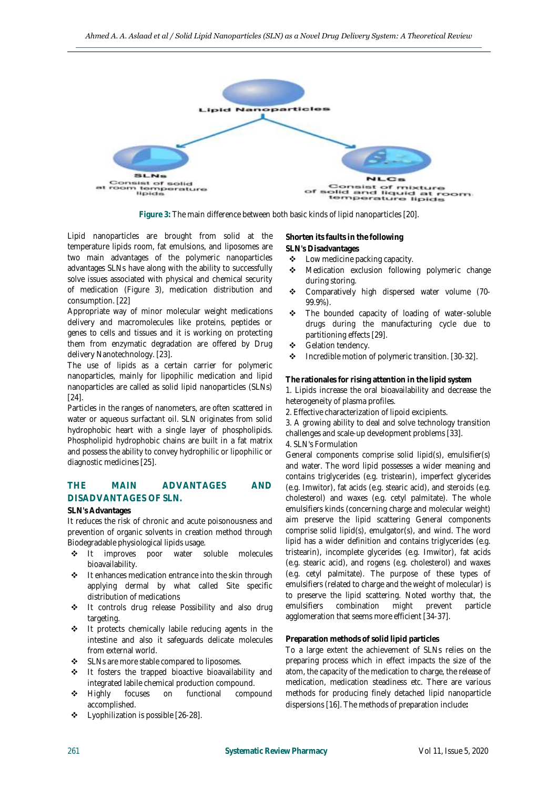

**Figure 3:** The main difference between both basic kinds of lipid nanoparticles [20].

Lipid nanoparticles are brought from solid at the temperature lipids room, fat emulsions, and liposomes are two main advantages of the polymeric nanoparticles advantages SLNs have along with the ability to successfully solve issues associated with physical and chemical security of medication (Figure 3), medication distribution and consumption. [22]

Appropriate way of minor molecular weight medications delivery and macromolecules like proteins, peptides or genes to cells and tissues and it is working on protecting them from enzymatic degradation are offered by Drug delivery Nanotechnology. [23].

The use of lipids as a certain carrier for polymeric nanoparticles, mainly for lipophilic medication and lipid nanoparticles are called as solid lipid nanoparticles (SLNs) [24].

Particles in the ranges of nanometers, are often scattered in water or aqueous surfactant oil. SLN originates from solid hydrophobic heart with a single layer of phospholipids. Phospholipid hydrophobic chains are built in a fat matrix and possess the ability to convey hydrophilic or lipophilic or diagnostic medicines [25].

# **THE MAIN ADVANTAGES AND DISADVANTAGES OF SLN.**

#### **SLN's Advantages**

It reduces the risk of chronic and acute poisonousness and prevention of organic solvents in creation method through Biodegradable physiological lipids usage.

- $\div$  It improves poor water soluble molecules bioavailability.
- ❖ It enhances medication entrance into the skin through applying dermal by what called Site specific distribution of medications
- $\div$  It controls drug release Possibility and also drug targeting.
- It protects chemically labile reducing agents in the intestine and also it safeguards delicate molecules from external world.
- SLNs are more stable compared to liposomes.
- $\div$  It fosters the trapped bioactive bioavailability and integrated labile chemical production compound.
- Highly focuses on functional compound accomplished.
- Lyophilization is possible [26-28].

**Shorten its faults in the following**

- **SLN's Disadvantages**
- Low medicine packing capacity.
- **\*** Medication exclusion following polymeric change during storing.
- \* Comparatively high dispersed water volume (70-99.9%).
- The bounded capacity of loading of water-soluble drugs during the manufacturing cycle due to partitioning effects [29].
- Gelation tendency.
- $\triangleleft$  Incredible motion of polymeric transition. [30-32].

**The rationales for rising attention in the lipid system** 1. Lipids increase the oral bioavailability and decrease the heterogeneity of plasma profiles.

2. Effective characterization of lipoid excipients.

3. A growing ability to deal and solve technology transition challenges and scale-up development problems [33].

# 4. SLN's Formulation

General components comprise solid lipid(s), emulsifier(s) and water. The word lipid possesses a wider meaning and contains triglycerides (e.g. tristearin), imperfect glycerides (e.g. Imwitor), fat acids (e.g. stearic acid), and steroids (e.g. cholesterol) and waxes (e.g. cetyl palmitate). The whole emulsifiers kinds (concerning charge and molecular weight) aim preserve the lipid scattering General components comprise solid lipid(s), emulgator(s), and wind. The word lipid has a wider definition and contains triglycerides (e.g. tristearin), incomplete glycerides (e.g. Imwitor), fat acids (e.g. stearic acid), and rogens (e.g. cholesterol) and waxes (e.g. cetyl palmitate). The purpose of these types of emulsifiers (related to charge and the weight of molecular) is to preserve the lipid scattering. Noted worthy that, the emulsifiers combination might prevent particle agglomeration that seems more efficient [34-37].

#### **Preparation methods of solid lipid particles**

To a large extent the achievement of SLNs relies on the preparing process which in effect impacts the size of the atom, the capacity of the medication to charge, the release of medication, medication steadiness etc. There are various methods for producing finely detached lipid nanoparticle dispersions [16]. The methods of preparation include**:**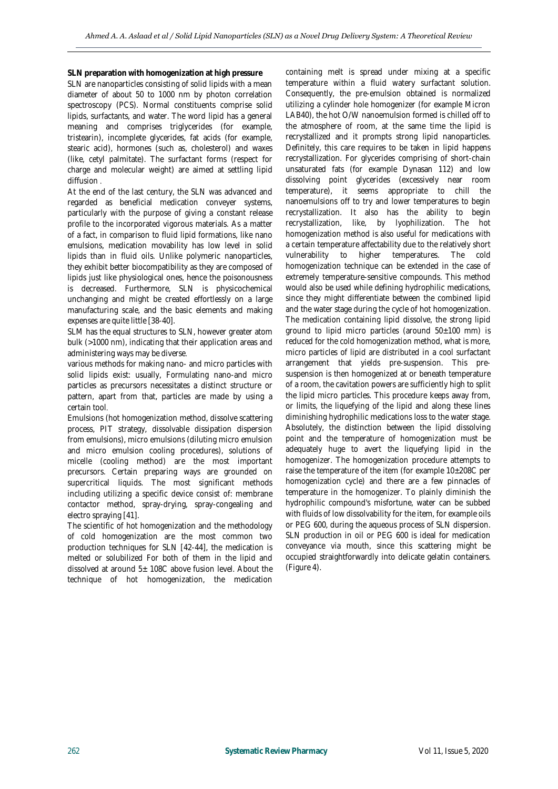**SLN preparation with homogenization at high pressure** SLN are nanoparticles consisting of solid lipids with a mean diameter of about 50 to 1000 nm by photon correlation spectroscopy (PCS). Normal constituents comprise solid lipids, surfactants, and water. The word lipid has a general meaning and comprises triglycerides (for example, tristearin), incomplete glycerides, fat acids (for example, stearic acid), hormones (such as, cholesterol) and waxes (like, cetyl palmitate). The surfactant forms (respect for charge and molecular weight) are aimed at settling lipid diffusion .

At the end of the last century, the SLN was advanced and regarded as beneficial medication conveyer systems, particularly with the purpose of giving a constant release profile to the incorporated vigorous materials. As a matter of a fact, in comparison to fluid lipid formations, like nano emulsions, medication movability has low level in solid lipids than in fluid oils. Unlike polymeric nanoparticles, they exhibit better biocompatibility as they are composed of lipids just like physiological ones, hence the poisonousness is decreased. Furthermore, SLN is physicochemical unchanging and might be created effortlessly on a large manufacturing scale, and the basic elements and making expenses are quite little [38-40].

SLM has the equal structures to SLN, however greater atom bulk (>1000 nm), indicating that their application areas and administering ways may be diverse.

various methods for making nano- and micro particles with solid lipids exist: usually, Formulating nano-and micro particles as precursors necessitates a distinct structure or pattern, apart from that, particles are made by using a certain tool.

Emulsions (hot homogenization method, dissolve scattering process, PIT strategy, dissolvable dissipation dispersion from emulsions), micro emulsions (diluting micro emulsion and micro emulsion cooling procedures), solutions of micelle (cooling method) are the most important precursors. Certain preparing ways are grounded on supercritical liquids. The most significant methods including utilizing a specific device consist of: membrane contactor method, spray-drying, spray-congealing and electro spraying [41].

The scientific of hot homogenization and the methodology of cold homogenization are the most common two production techniques for SLN [42-44], the medication is melted or solubilized For both of them in the lipid and dissolved at around  $5\pm$  108C above fusion level. About the technique of hot homogenization, the medication containing melt is spread under mixing at a specific temperature within a fluid watery surfactant solution. Consequently, the pre-emulsion obtained is normalized utilizing a cylinder hole homogenizer (for example Micron LAB40), the hot O/W nanoemulsion formed is chilled off to the atmosphere of room, at the same time the lipid is recrystallized and it prompts strong lipid nanoparticles. Definitely, this care requires to be taken in lipid happens recrystallization. For glycerides comprising of short-chain unsaturated fats (for example Dynasan 112) and low dissolving point glycerides (excessively near room temperature), it seems appropriate to chill the nanoemulsions off to try and lower temperatures to begin recrystallization. It also has the ability to begin recrystallization, like, by lyophilization. The hot homogenization method is also useful for medications with a certain temperature affectability due to the relatively short vulnerability to higher temperatures. The cold homogenization technique can be extended in the case of extremely temperature-sensitive compounds. This method would also be used while defining hydrophilic medications, since they might differentiate between the combined lipid and the water stage during the cycle of hot homogenization. The medication containing lipid dissolve, the strong lipid ground to lipid micro particles (around  $50±100$  mm) is reduced for the cold homogenization method, what is more, micro particles of lipid are distributed in a cool surfactant arrangement that yields pre-suspension. This presuspension is then homogenized at or beneath temperature of a room, the cavitation powers are sufficiently high to split the lipid micro particles. This procedure keeps away from, or limits, the liquefying of the lipid and along these lines diminishing hydrophilic medications loss to the water stage. Absolutely, the distinction between the lipid dissolving point and the temperature of homogenization must be adequately huge to avert the liquefying lipid in the homogenizer. The homogenization procedure attempts to raise the temperature of the item (for example 10±208C per homogenization cycle) and there are a few pinnacles of temperature in the homogenizer. To plainly diminish the hydrophilic compound's misfortune, water can be subbed with fluids of low dissolvability for the item, for example oils or PEG 600, during the aqueous process of SLN dispersion. SLN production in oil or PEG 600 is ideal for medication conveyance via mouth, since this scattering might be occupied straightforwardly into delicate gelatin containers. (Figure 4).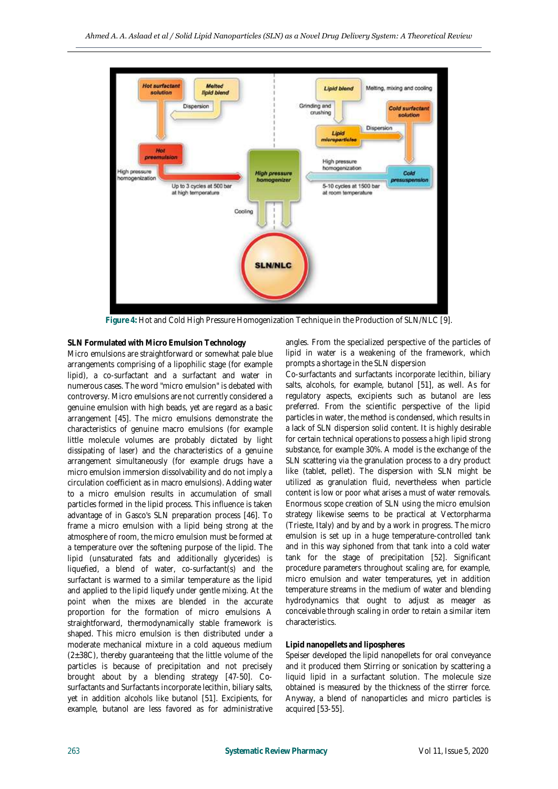

**Figure 4:** Hot and Cold High Pressure Homogenization Technique in the Production of SLN/NLC [9].

# **SLN Formulated with Micro Emulsion Technology**

Micro emulsions are straightforward or somewhat pale blue arrangements comprising of a lipophilic stage (for example lipid), a co-surfactant and a surfactant and water in numerous cases. The word "micro emulsion" is debated with controversy. Micro emulsions are not currently considered a genuine emulsion with high beads, yet are regard as a basic arrangement [45]. The micro emulsions demonstrate the characteristics of genuine macro emulsions (for example little molecule volumes are probably dictated by light dissipating of laser) and the characteristics of a genuine arrangement simultaneously (for example drugs have a micro emulsion immersion dissolvability and do not imply a circulation coefficient as in macro emulsions). Adding water to a micro emulsion results in accumulation of small particles formed in the lipid process. This influence is taken advantage of in Gasco's SLN preparation process [46]. To frame a micro emulsion with a lipid being strong at the atmosphere of room, the micro emulsion must be formed at a temperature over the softening purpose of the lipid. The lipid (unsaturated fats and additionally glycerides) is liquefied, a blend of water, co-surfactant(s) and the surfactant is warmed to a similar temperature as the lipid and applied to the lipid liquefy under gentle mixing. At the point when the mixes are blended in the accurate proportion for the formation of micro emulsions A straightforward, thermodynamically stable framework is shaped. This micro emulsion is then distributed under a moderate mechanical mixture in a cold aqueous medium  $(2±38C)$ , thereby guaranteeing that the little volume of the particles is because of precipitation and not precisely brought about by a blending strategy [47-50]. Cosurfactants and Surfactants incorporate lecithin, biliary salts, yet in addition alcohols like butanol [51]. Excipients, for example, butanol are less favored as for administrative

angles. From the specialized perspective of the particles of lipid in water is a weakening of the framework, which prompts a shortage in the SLN dispersion

Co-surfactants and surfactants incorporate lecithin, biliary salts, alcohols, for example, butanol [51], as well. As for regulatory aspects, excipients such as butanol are less preferred. From the scientific perspective of the lipid particles in water, the method is condensed, which results in a lack of SLN dispersion solid content. It is highly desirable for certain technical operations to possess a high lipid strong substance, for example 30%. A model is the exchange of the SLN scattering via the granulation process to a dry product like (tablet, pellet). The dispersion with SLN might be utilized as granulation fluid, nevertheless when particle content is low or poor what arises a must of water removals. Enormous scope creation of SLN using the micro emulsion strategy likewise seems to be practical at Vectorpharma (Trieste, Italy) and by and by a work in progress. The micro emulsion is set up in a huge temperature-controlled tank and in this way siphoned from that tank into a cold water tank for the stage of precipitation [52]. Significant procedure parameters throughout scaling are, for example, micro emulsion and water temperatures, yet in addition temperature streams in the medium of water and blending hydrodynamics that ought to adjust as meager as conceivable through scaling in order to retain a similar item characteristics.

# **Lipid nanopellets and lipospheres**

Speiser developed the lipid nanopellets for oral conveyance and it produced them Stirring or sonication by scattering a liquid lipid in a surfactant solution. The molecule size obtained is measured by the thickness of the stirrer force. Anyway, a blend of nanoparticles and micro particles is acquired [53-55].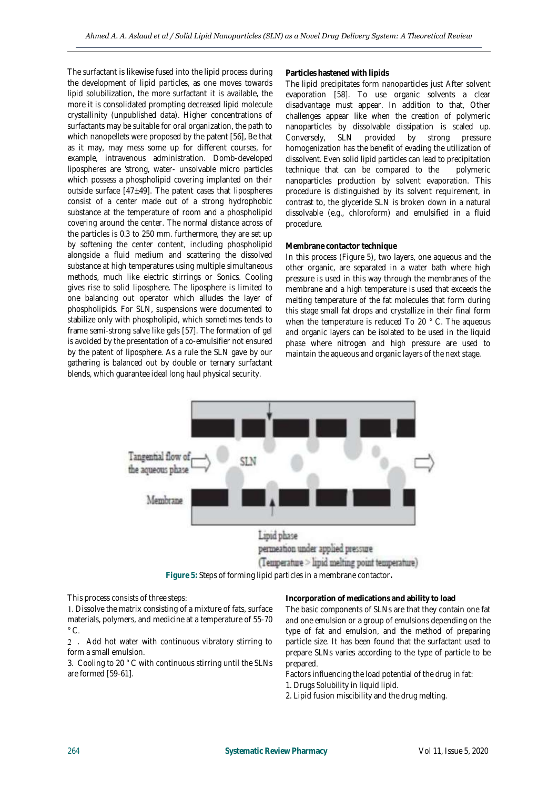The surfactant is likewise fused into the lipid process during the development of lipid particles, as one moves towards lipid solubilization, the more surfactant it is available, the more it is consolidated prompting decreased lipid molecule crystallinity (unpublished data). Higher concentrations of surfactants may be suitable for oral organization, the path to which nanopellets were proposed by the patent [56], Be that as it may, may mess some up for different courses, for example, intravenous administration. Domb-developed lipospheres are 'strong, water- unsolvable micro particles which possess a phospholipid covering implanted on their outside surface  $[47±49]$ . The patent cases that lipospheres consist of a center made out of a strong hydrophobic substance at the temperature of room and a phospholipid covering around the center. The normal distance across of the particles is 0.3 to 250 mm. furthermore, they are set up by softening the center content, including phospholipid alongside a fluid medium and scattering the dissolved substance at high temperatures using multiple simultaneous methods, much like electric stirrings or Sonics. Cooling gives rise to solid liposphere. The liposphere is limited to one balancing out operator which alludes the layer of phospholipids. For SLN, suspensions were documented to stabilize only with phospholipid, which sometimes tends to frame semi-strong salve like gels [57]. The formation of gel is avoided by the presentation of a co-emulsifier not ensured by the patent of liposphere. As a rule the SLN gave by our gathering is balanced out by double or ternary surfactant blends, which guarantee ideal long haul physical security.

#### **Particles hastened with lipids**

The lipid precipitates form nanoparticles just After solvent evaporation [58]. To use organic solvents a clear disadvantage must appear. In addition to that, Other challenges appear like when the creation of polymeric nanoparticles by dissolvable dissipation is scaled up. Conversely, SLN provided by strong pressure homogenization has the benefit of evading the utilization of dissolvent. Even solid lipid particles can lead to precipitation technique that can be compared to the polymeric nanoparticles production by solvent evaporation. This procedure is distinguished by its solvent requirement, in contrast to, the glyceride SLN is broken down in a natural dissolvable (e.g., chloroform) and emulsified in a fluid procedure.

# **Membrane contactor technique**

In this process (Figure 5), two layers, one aqueous and the other organic, are separated in a water bath where high pressure is used in this way through the membranes of the membrane and a high temperature is used that exceeds the melting temperature of the fat molecules that form during this stage small fat drops and crystallize in their final form when the temperature is reduced To 20 ° C. The aqueous and organic layers can be isolated to be used in the liquid phase where nitrogen and high pressure are used to maintain the aqueous and organic layers of the next stage.





This process consists of three steps:

. Dissolve the matrix consisting of a mixture of fats, surface materials, polymers, and medicine at a temperature of 55-70  $^{\circ}$  C.

. Add hot water with continuous vibratory stirring to form a small emulsion.

3. Cooling to 20 ° C with continuous stirring until the SLNs are formed [59-61].

**Incorporation of medications and ability to load** The basic components of SLNs are that they contain one fat and one emulsion or a group of emulsions depending on the type of fat and emulsion, and the method of preparing particle size. It has been found that the surfactant used to prepare SLNs varies according to the type of particle to be prepared.

Factors influencing the load potential of the drug in fat: 1. Drugs Solubility in liquid lipid.

2. Lipid fusion miscibility and the drug melting.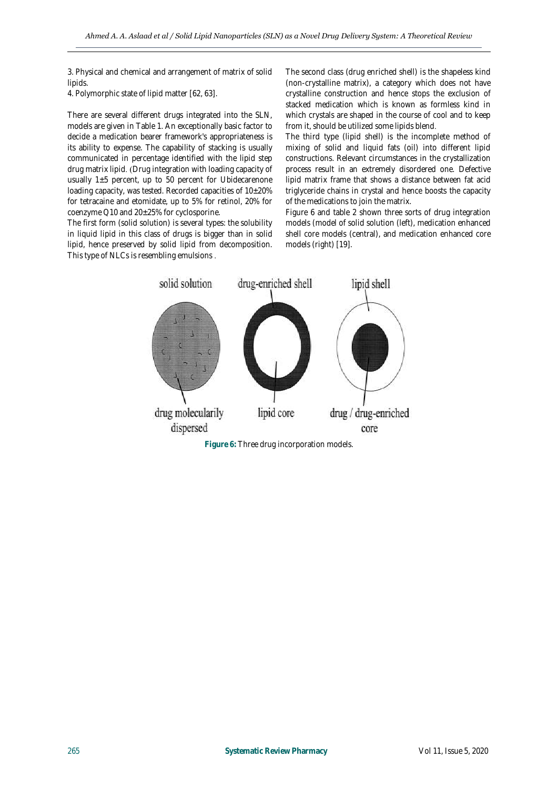3. Physical and chemical and arrangement of matrix of solid lipids.

4. Polymorphic state of lipid matter [62, 63].

There are several different drugs integrated into the SLN, models are given in Table 1. An exceptionally basic factor to decide a medication bearer framework's appropriateness is its ability to expense. The capability of stacking is usually communicated in percentage identified with the lipid step drug matrix lipid. (Drug integration with loading capacity of usually 1±5 percent, up to 50 percent for Ubidecarenone loading capacity, was tested. Recorded capacities of  $10\pm20\%$ for tetracaine and etomidate, up to 5% for retinol, 20% for coenzyme Q10 and 20±25% for cyclosporine.

The first form (solid solution) is several types: the solubility in liquid lipid in this class of drugs is bigger than in solid lipid, hence preserved by solid lipid from decomposition. This type of NLCs is resembling emulsions .

The second class (drug enriched shell) is the shapeless kind (non-crystalline matrix), a category which does not have crystalline construction and hence stops the exclusion of stacked medication which is known as formless kind in which crystals are shaped in the course of cool and to keep from it, should be utilized some lipids blend.

The third type (lipid shell) is the incomplete method of mixing of solid and liquid fats (oil) into different lipid constructions. Relevant circumstances in the crystallization process result in an extremely disordered one. Defective lipid matrix frame that shows a distance between fat acid triglyceride chains in crystal and hence boosts the capacity of the medications to join the matrix.

Figure 6 and table 2 shown three sorts of drug integration models (model of solid solution (left), medication enhanced shell core models (central), and medication enhanced core models (right) [19].



**Figure 6:** Three drug incorporation models.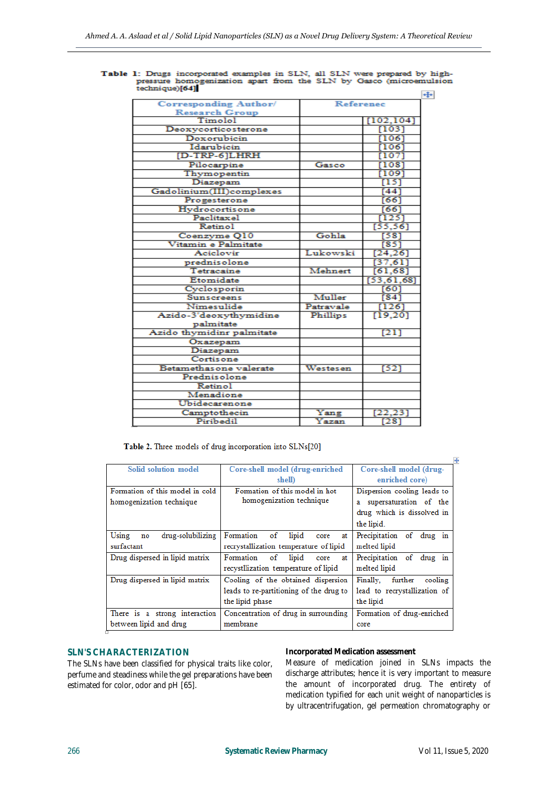| <b>Corresponding Author/</b> |           | <b>Reference</b>  |  |
|------------------------------|-----------|-------------------|--|
| <b>Research Group</b>        |           |                   |  |
| Timolol                      |           | [102, 104]        |  |
| Deoxycorticosterone          |           | [103]             |  |
| Doxorubicin                  |           | 11061             |  |
| Idarubicin                   |           | 1061              |  |
| [D-TRP-6]LHRH                |           | [107]             |  |
| Pilocarpine                  | Gasco     | [108]             |  |
| Thymopentin                  |           | [109]             |  |
| Diazepam                     |           | [15]              |  |
| Gadolinium(III)complexes     |           | [44]              |  |
| Progesterone                 |           | [66]              |  |
| Hydrocortisone               |           | [66]              |  |
| Paclitaxel                   |           | [125]             |  |
| Retinol                      |           | [55, 56]          |  |
| Coenzyme Q10                 | Gohla     | [58]              |  |
| Vitamin e Palmitate          |           | [85]              |  |
| Aciclovir                    | Lukowski  | [24, 26]          |  |
| prednisolone                 |           | [37, 61]          |  |
| Tetracaine                   | Mehnert   | [61, 68]          |  |
| Etomidate                    |           | [53, 61, 68]      |  |
| Cyclosporin                  |           | [60]              |  |
| Sunscreens                   | Muller    | $[84]$            |  |
| Nimesulide                   | Patravale | [126]             |  |
| Azido-3'deoxythymidine       | Phillips  | [19, 20]          |  |
| palmitate                    |           |                   |  |
| Azido thymidinr palmitate    |           | [21]              |  |
| Oxazepam                     |           |                   |  |
| Diazepam                     |           |                   |  |
| Cortisone                    |           |                   |  |
| Betamethas one valerate      | Westesen  | [52]              |  |
| Prednisolone                 |           |                   |  |
| Retinol                      |           |                   |  |
| Menadione                    |           |                   |  |
| Ubidecarenone                |           |                   |  |
| Camptothecin                 | Yang      | [22, 23]          |  |
| Piribedil                    | Yazan     | $\overline{[28]}$ |  |
|                              |           |                   |  |

Table 1: Drugs incorporated examples in SLN, all SLN were prepared by high-<br>pressure homogenization apart from the SLN by Gasco (microemulsion<br>technique)[64]  $\div$ 

Table 2. Three models of drug incorporation into SLNs[20]

|                                  |                                               | ∔                              |
|----------------------------------|-----------------------------------------------|--------------------------------|
| Solid solution model             | Core-shell model (drug-enriched               | Core-shell model (drug-        |
|                                  | shell                                         | enriched core)                 |
| Formation of this model in cold  | Formation of this model in hot                | Dispersion cooling leads to    |
| homogenization technique         | homogenization technique                      | supersaturation of the<br>a    |
|                                  |                                               | drug which is dissolved in     |
|                                  |                                               | the lipid.                     |
| drug-solubilizing<br>Using<br>no | Formation<br>of<br>lipid<br>core<br>at        | Precipitation of drug in       |
| surfactant                       | recrystallization temperature of lipid        | melted lipid                   |
| Drug dispersed in lipid matrix   | Formation<br>$\circ$ f<br>lipid<br>at<br>core | Precipitation of drug in       |
|                                  | recystllization temperature of lipid          | melted lipid                   |
| Drug dispersed in lipid matrix   | Cooling of the obtained dispersion            | Finally.<br>further<br>cooling |
|                                  | leads to re-partitioning of the drug to       | lead to recrystallization of   |
|                                  | the lipid phase                               | the lipid                      |
| There is a strong interaction    | Concentration of drug in surrounding          | Formation of drug-enriched     |
| between lipid and drug           | membrane                                      | core                           |

# **SLN'S CHARACTERIZATION**

The SLNs have been classified for physical traits like color, perfume and steadiness while the gel preparations have been estimated for color, odor and pH [65].

#### **Incorporated Medication assessment**

Measure of medication joined in SLNs impacts the discharge attributes; hence it is very important to measure the amount of incorporated drug. The entirety of medication typified for each unit weight of nanoparticles is by ultracentrifugation, gel permeation chromatography or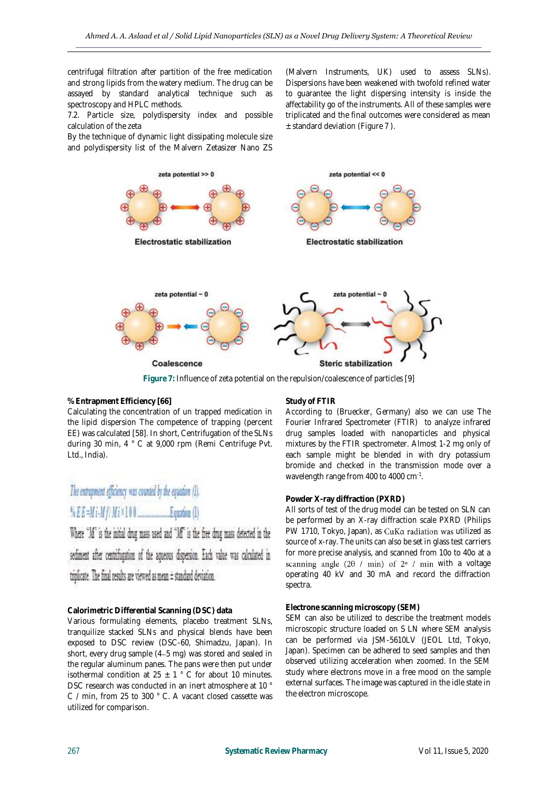centrifugal filtration after partition of the free medication and strong lipids from the watery medium. The drug can be assayed by standard analytical technique such as spectroscopy and HPLC methods.

7.2. Particle size, polydispersity index and possible calculation of the zeta

By the technique of dynamic light dissipating molecule size and polydispersity list of the Malvern Zetasizer Nano ZS

(Malvern Instruments, UK) used to assess SLNs). Dispersions have been weakened with twofold refined water to guarantee the light dispersing intensity is inside the affectability go of the instruments. All of these samples were triplicated and the final outcomes were considered as mean  $±$  standard deviation (Figure 7).



**Figure 7:** Influence of zeta potential on the repulsion/coalescence of particles [9]

#### **% Entrapment Efficiency [66]**

Calculating the concentration of un trapped medication in the lipid dispersion The competence of trapping (percent EE) was calculated [58]. In short, Centrifugation of the SLNs during 30 min, 4 ° C at 9,000 rpm (Remi Centrifuge Pvt. Ltd., India).

# The entrapment efficiency was counted by the equation (1).

Where "M" is the initial drug mass used and "M" is the free drug mass detected in the sediment after centrifugation of the aqueous dispersion. Each value was calculated in triplicate. The final results are viewed as mean ± standard deviation.

# **Calorimetric Differential Scanning (DSC) data**

Various formulating elements, placebo treatment SLNs, tranquilize stacked SLNs and physical blends have been exposed to DSC review (DSC-60, Shimadzu, Japan). In short, every drug sample (4–5 mg) was stored and sealed in the regular aluminum panes. The pans were then put under isothermal condition at  $25 \pm 1$  ° C for about 10 minutes. DSC research was conducted in an inert atmosphere at 10 ° C / min, from 25 to 300 ° C. A vacant closed cassette was utilized for comparison.

#### **Study of FTIR**

According to (Bruecker, Germany) also we can use The Fourier Infrared Spectrometer (FTIR) to analyze infrared drug samples loaded with nanoparticles and physical mixtures by the FTIR spectrometer. Almost 1-2 mg only of each sample might be blended in with dry potassium bromide and checked in the transmission mode over a wavelength range from 400 to 4000 cm<sup>-1</sup>.

#### **Powder X-ray diffraction (PXRD)**

All sorts of test of the drug model can be tested on SLN can be performed by an X-ray diffraction scale PXRD (Philips PW 1710, Tokyo, Japan), as CuKa radiation was utilized as source of x-ray. The units can also be set in glass test carriers for more precise analysis, and scanned from 10o to 40o at a scanning angle  $(2\theta / min)$  of  $2^{\circ}$  / min with a voltage operating 40 kV and 30 mA and record the diffraction spectra.

#### **Electrone scanning microscopy (SEM)**

SEM can also be utilized to describe the treatment models microscopic structure loaded on S LN where SEM analysis can be performed via JSM-5610LV (JEOL Ltd, Tokyo, Japan). Specimen can be adhered to seed samples and then observed utilizing acceleration when zoomed. In the SEM study where electrons move in a free mood on the sample external surfaces. The image was captured in the idle state in the electron microscope.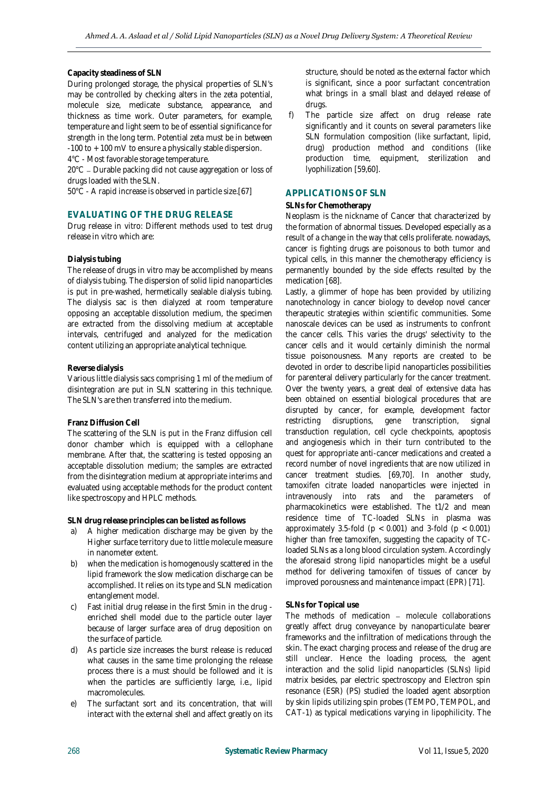#### **Capacity steadiness of SLN**

During prolonged storage, the physical properties of SLN's may be controlled by checking alters in the zeta potential, molecule size, medicate substance, appearance, and thickness as time work. Outer parameters, for example, temperature and light seem to be of essential significance for strength in the long term. Potential zeta must be in between -100 to + 100 mV to ensure a physically stable dispersion.

4°C - Most favorable storage temperature.

20°C – Durable packing did not cause aggregation or loss of drugs loaded with the SLN.

50°C - A rapid increase is observed in particle size.[67]

# **EVALUATING OF THE DRUG RELEASE**

Drug release in vitro: Different methods used to test drug release in vitro which are:

#### **Dialysis tubing**

The release of drugs in vitro may be accomplished by means of dialysis tubing. The dispersion of solid lipid nanoparticles is put in pre-washed, hermetically sealable dialysis tubing. The dialysis sac is then dialyzed at room temperature opposing an acceptable dissolution medium, the specimen are extracted from the dissolving medium at acceptable intervals, centrifuged and analyzed for the medication content utilizing an appropriate analytical technique.

#### **Reverse dialysis**

Various little dialysis sacs comprising 1 ml of the medium of disintegration are put in SLN scattering in this technique. The SLN's are then transferred into the medium.

#### **Franz Diffusion Cell**

The scattering of the SLN is put in the Franz diffusion cell donor chamber which is equipped with a cellophane membrane. After that, the scattering is tested opposing an acceptable dissolution medium; the samples are extracted from the disintegration medium at appropriate interims and evaluated using acceptable methods for the product content like spectroscopy and HPLC methods.

**SLN drug release principles can be listed as follows**

- a) A higher medication discharge may be given by the Higher surface territory due to little molecule measure in nanometer extent.
- b) when the medication is homogenously scattered in the lipid framework the slow medication discharge can be accomplished. It relies on its type and SLN medication entanglement model.
- c) Fast initial drug release in the first 5min in the drug enriched shell model due to the particle outer layer because of larger surface area of drug deposition on the surface of particle.
- d) As particle size increases the burst release is reduced what causes in the same time prolonging the release process there is a must should be followed and it is when the particles are sufficiently large, i.e., lipid macromolecules.
- e) The surfactant sort and its concentration, that will interact with the external shell and affect greatly on its

structure, should be noted as the external factor which is significant, since a poor surfactant concentration what brings in a small blast and delayed release of drugs.

f) The particle size affect on drug release rate significantly and it counts on several parameters like SLN formulation composition (like surfactant, lipid, drug) production method and conditions (like production time, equipment, sterilization and lyophilization [59,60].

# **APPLICATIONS OF SLN**

#### **SLNs for Chemotherapy**

Neoplasm is the nickname of Cancer that characterized by the formation of abnormal tissues. Developed especially as a result of a change in the way that cells proliferate. nowadays, cancer is fighting drugs are poisonous to both tumor and typical cells, in this manner the chemotherapy efficiency is permanently bounded by the side effects resulted by the medication [68].

Lastly, a glimmer of hope has been provided by utilizing nanotechnology in cancer biology to develop novel cancer therapeutic strategies within scientific communities. Some nanoscale devices can be used as instruments to confront the cancer cells. This varies the drugs' selectivity to the cancer cells and it would certainly diminish the normal tissue poisonousness. Many reports are created to be devoted in order to describe lipid nanoparticles possibilities for parenteral delivery particularly for the cancer treatment. Over the twenty years, a great deal of extensive data has been obtained on essential biological procedures that are disrupted by cancer, for example, development factor restricting disruptions, gene transcription, signal transduction regulation, cell cycle checkpoints, apoptosis and angiogenesis which in their turn contributed to the quest for appropriate anti-cancer medications and created a record number of novel ingredients that are now utilized in cancer treatment studies. [69,70]. In another study, tamoxifen citrate loaded nanoparticles were injected in intravenously into rats and the parameters of pharmacokinetics were established. The t1/2 and mean residence time of TC-loaded SLNs in plasma was approximately 3.5-fold ( $p < 0.001$ ) and 3-fold ( $p < 0.001$ ) higher than free tamoxifen, suggesting the capacity of TCloaded SLNs as a long blood circulation system. Accordingly the aforesaid strong lipid nanoparticles might be a useful method for delivering tamoxifen of tissues of cancer by improved porousness and maintenance impact (EPR) [71].

#### **SLNs for Topical use**

The methods of medication  $-$  molecule collaborations greatly affect drug conveyance by nanoparticulate bearer frameworks and the infiltration of medications through the skin. The exact charging process and release of the drug are still unclear. Hence the loading process, the agent interaction and the solid lipid nanoparticles (SLNs) lipid matrix besides, par electric spectroscopy and Electron spin resonance (ESR) (PS) studied the loaded agent absorption by skin lipids utilizing spin probes (TEMPO, TEMPOL, and CAT-1) as typical medications varying in lipophilicity. The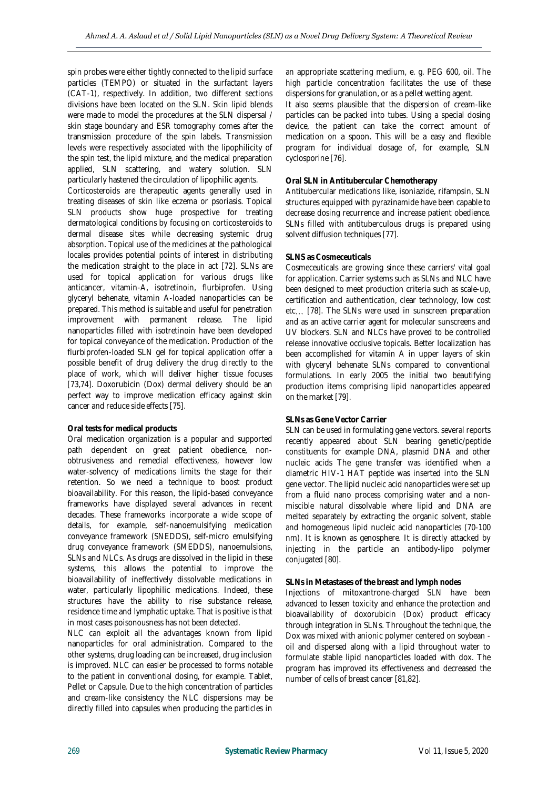spin probes were either tightly connected to the lipid surface particles (TEMPO) or situated in the surfactant layers (CAT-1), respectively. In addition, two different sections divisions have been located on the SLN. Skin lipid blends were made to model the procedures at the SLN dispersal / skin stage boundary and ESR tomography comes after the transmission procedure of the spin labels. Transmission levels were respectively associated with the lipophilicity of the spin test, the lipid mixture, and the medical preparation applied, SLN scattering, and watery solution. SLN particularly hastened the circulation of lipophilic agents.

Corticosteroids are therapeutic agents generally used in treating diseases of skin like eczema or psoriasis. Topical SLN products show huge prospective for treating dermatological conditions by focusing on corticosteroids to dermal disease sites while decreasing systemic drug absorption. Topical use of the medicines at the pathological locales provides potential points of interest in distributing the medication straight to the place in act [72]. SLNs are used for topical application for various drugs like anticancer, vitamin-A, isotretinoin, flurbiprofen. Using glyceryl behenate, vitamin A-loaded nanoparticles can be prepared. This method is suitable and useful for penetration improvement with permanent release. The lipid nanoparticles filled with isotretinoin have been developed for topical conveyance of the medication. Production of the flurbiprofen-loaded SLN gel for topical application offer a possible benefit of drug delivery the drug directly to the place of work, which will deliver higher tissue focuses [73,74]. Doxorubicin (Dox) dermal delivery should be an perfect way to improve medication efficacy against skin cancer and reduce side effects [75].

#### **Oral tests for medical products**

Oral medication organization is a popular and supported path dependent on great patient obedience, nonobtrusiveness and remedial effectiveness, however low water-solvency of medications limits the stage for their retention. So we need a technique to boost product bioavailability. For this reason, the lipid-based conveyance frameworks have displayed several advances in recent decades. These frameworks incorporate a wide scope of details, for example, self-nanoemulsifying medication conveyance framework (SNEDDS), self-micro emulsifying drug conveyance framework (SMEDDS), nanoemulsions, SLNs and NLCs. As drugs are dissolved in the lipid in these systems, this allows the potential to improve the bioavailability of ineffectively dissolvable medications in water, particularly lipophilic medications. Indeed, these structures have the ability to rise substance release, residence time and lymphatic uptake. That is positive is that in most cases poisonousness has not been detected.

NLC can exploit all the advantages known from lipid nanoparticles for oral administration. Compared to the other systems, drug loading can be increased, drug inclusion is improved. NLC can easier be processed to forms notable to the patient in conventional dosing, for example. Tablet, Pellet or Capsule. Due to the high concentration of particles and cream-like consistency the NLC dispersions may be directly filled into capsules when producing the particles in an appropriate scattering medium, e. g. PEG 600, oil. The high particle concentration facilitates the use of these dispersions for granulation, or as a pellet wetting agent.

It also seems plausible that the dispersion of cream-like particles can be packed into tubes. Using a special dosing device, the patient can take the correct amount of medication on a spoon. This will be a easy and flexible program for individual dosage of, for example, SLN cyclosporine [76].

# **Oral SLN in Antitubercular Chemotherapy**

Antitubercular medications like, isoniazide, rifampsin, SLN structures equipped with pyrazinamide have been capable to decrease dosing recurrence and increase patient obedience. SLNs filled with antituberculous drugs is prepared using solvent diffusion techniques [77].

#### **SLNS as Cosmeceuticals**

Cosmeceuticals are growing since these carriers' vital goal for application. Carrier systems such as SLNs and NLC have been designed to meet production criteria such as scale-up, certification and authentication, clear technology, low cost etc... [78]. The SLNs were used in sunscreen preparation and as an active carrier agent for molecular sunscreens and UV blockers. SLN and NLCs have proved to be controlled release innovative occlusive topicals. Better localization has been accomplished for vitamin A in upper layers of skin with glyceryl behenate SLNs compared to conventional formulations. In early 2005 the initial two beautifying production items comprising lipid nanoparticles appeared on the market [79].

#### **SLNs as Gene Vector Carrier**

SLN can be used in formulating gene vectors. several reports recently appeared about SLN bearing genetic/peptide constituents for example DNA, plasmid DNA and other nucleic acids The gene transfer was identified when a diametric HIV-1 HAT peptide was inserted into the SLN gene vector. The lipid nucleic acid nanoparticles were set up from a fluid nano process comprising water and a nonmiscible natural dissolvable where lipid and DNA are melted separately by extracting the organic solvent, stable and homogeneous lipid nucleic acid nanoparticles (70-100 nm). It is known as genosphere. It is directly attacked by injecting in the particle an antibody-lipo polymer conjugated [80].

#### **SLNs in Metastases of the breast and lymph nodes**

Injections of mitoxantrone-charged SLN have been advanced to lessen toxicity and enhance the protection and bioavailability of doxorubicin (Dox) product efficacy through integration in SLNs. Throughout the technique, the Dox was mixed with anionic polymer centered on soybean oil and dispersed along with a lipid throughout water to formulate stable lipid nanoparticles loaded with dox. The program has improved its effectiveness and decreased the number of cells of breast cancer [81,82].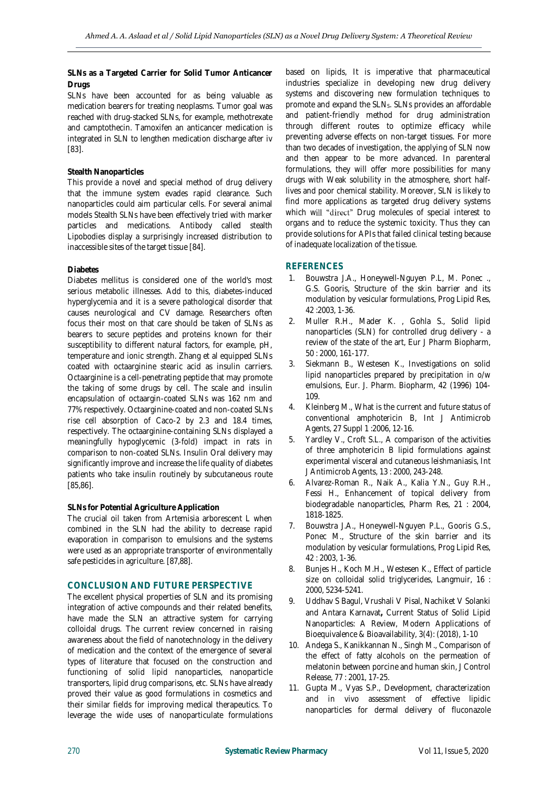**SLNs as a Targeted Carrier for Solid Tumor Anticancer Drugs**

SLNs have been accounted for as being valuable as medication bearers for treating neoplasms. Tumor goal was reached with drug-stacked SLNs, for example, methotrexate and camptothecin. Tamoxifen an anticancer medication is integrated in SLN to lengthen medication discharge after iv [83].

# **Stealth Nanoparticles**

This provide a novel and special method of drug delivery that the immune system evades rapid clearance. Such nanoparticles could aim particular cells. For several animal models Stealth SLNs have been effectively tried with marker particles and medications. Antibody called stealth Lipobodies display a surprisingly increased distribution to inaccessible sites of the target tissue [84].

# **Diabetes**

Diabetes mellitus is considered one of the world's most serious metabolic illnesses. Add to this, diabetes-induced hyperglycemia and it is a severe pathological disorder that causes neurological and CV damage. Researchers often focus their most on that care should be taken of SLNs as bearers to secure peptides and proteins known for their susceptibility to different natural factors, for example, pH, temperature and ionic strength. Zhang et al equipped SLNs coated with octaarginine stearic acid as insulin carriers. Octaarginine is a cell-penetrating peptide that may promote the taking of some drugs by cell. The scale and insulin encapsulation of octaargin-coated SLNs was 162 nm and 77% respectively. Octaarginine-coated and non-coated SLNs rise cell absorption of Caco-2 by 2.3 and 18.4 times, respectively. The octaarginine-containing SLNs displayed a meaningfully hypoglycemic (3-fold) impact in rats in comparison to non-coated SLNs. Insulin Oral delivery may significantly improve and increase the life quality of diabetes patients who take insulin routinely by subcutaneous route [85,86].

# **SLNs for Potential Agriculture Application**

The crucial oil taken from Artemisia arborescent L when combined in the SLN had the ability to decrease rapid evaporation in comparison to emulsions and the systems were used as an appropriate transporter of environmentally safe pesticides in agriculture. [87,88].

# **CONCLUSION AND FUTURE PERSPECTIVE**

The excellent physical properties of SLN and its promising integration of active compounds and their related benefits, have made the SLN an attractive system for carrying colloidal drugs. The current review concerned in raising awareness about the field of nanotechnology in the delivery of medication and the context of the emergence of several types of literature that focused on the construction and functioning of solid lipid nanoparticles, nanoparticle transporters, lipid drug comparisons, etc. SLNs have already proved their value as good formulations in cosmetics and their similar fields for improving medical therapeutics. To leverage the wide uses of nanoparticulate formulations

based on lipids, It is imperative that pharmaceutical industries specialize in developing new drug delivery systems and discovering new formulation techniques to promote and expand the SLNs. SLNs provides an affordable and patient-friendly method for drug administration through different routes to optimize efficacy while preventing adverse effects on non-target tissues. For more than two decades of investigation, the applying of SLN now and then appear to be more advanced. In parenteral formulations, they will offer more possibilities for many drugs with Weak solubility in the atmosphere, short halflives and poor chemical stability. Moreover, SLN is likely to find more applications as targeted drug delivery systems which will "direct" Drug molecules of special interest to organs and to reduce the systemic toxicity. Thus they can provide solutions for APIs that failed clinical testing because of inadequate localization of the tissue.

# **REFERENCES**

- 1. Bouwstra J.A., Honeywell-Nguyen P.L, M. Ponec ., G.S. Gooris, Structure of the skin barrier and its modulation by vesicular formulations, Prog Lipid Res, 42 :2003, 1-36.
- 2. Muller R.H., Mader K. , Gohla S., Solid lipid nanoparticles (SLN) for controlled drug delivery - a review of the state of the art, Eur J Pharm Biopharm, 50 : 2000, 161-177.
- 3. Siekmann B., Westesen K., Investigations on solid lipid nanoparticles prepared by precipitation in o/w emulsions, Eur. J. Pharm. Biopharm, 42 (1996) 104- 109.
- 4. Kleinberg M., What is the current and future status of conventional amphotericin B, Int J Antimicrob Agents, 27 Suppl 1 :2006, 12-16.
- 5. Yardley V., Croft S.L., A comparison of the activities of three amphotericin B lipid formulations against experimental visceral and cutaneous leishmaniasis, Int J Antimicrob Agents, 13 : 2000, 243-248.
- 6. Alvarez-Roman R., Naik A., Kalia Y.N., Guy R.H., Fessi H., Enhancement of topical delivery from biodegradable nanoparticles, Pharm Res, 21 : 2004, 1818-1825.
- 7. Bouwstra J.A., Honeywell-Nguyen P.L., Gooris G.S., Ponec M., Structure of the skin barrier and its modulation by vesicular formulations, Prog Lipid Res, 42 : 2003, 1-36.
- 8. Bunjes H., Koch M.H., Westesen K., Effect of particle size on colloidal solid triglycerides, Langmuir, 16 : 2000, 5234-5241.
- 9. Uddhav S Bagul, Vrushali V Pisal, Nachiket V Solanki and Antara Karnavat**,** Current Status of Solid Lipid Nanoparticles: A Review, Modern Applications of Bioequivalence & Bioavailability, 3(4): (2018), 1-10
- 10. Andega S., Kanikkannan N., Singh M., Comparison of the effect of fatty alcohols on the permeation of melatonin between porcine and human skin, J Control Release, 77 : 2001, 17-25.
- 11. Gupta M., Vyas S.P., Development, characterization and in vivo assessment of effective lipidic nanoparticles for dermal delivery of fluconazole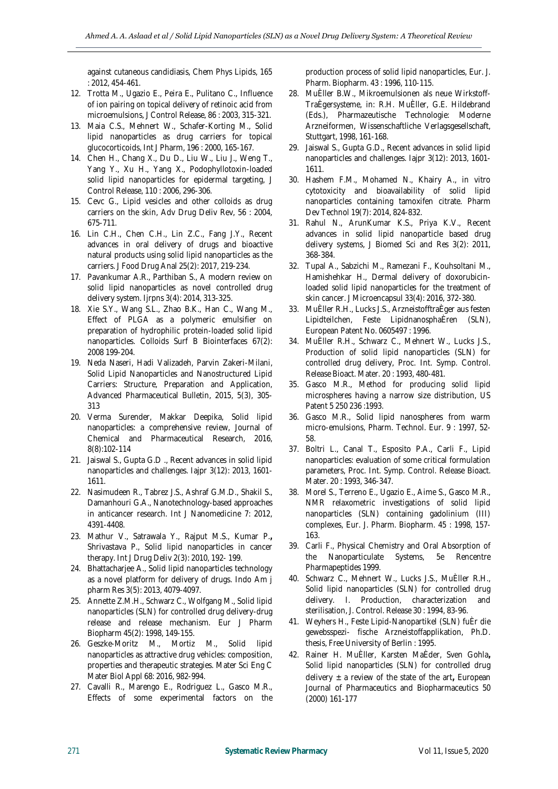against cutaneous candidiasis, Chem Phys Lipids, 165 : 2012, 454-461.

- 12. Trotta M., Ugazio E., Peira E., Pulitano C., Influence of ion pairing on topical delivery of retinoic acid from microemulsions, J Control Release, 86 : 2003, 315-321.
- 13. Maia C.S., Mehnert W., Schafer-Korting M., Solid lipid nanoparticles as drug carriers for topical glucocorticoids, Int J Pharm, 196 : 2000, 165-167.
- 14. Chen H., Chang X., Du D., Liu W., Liu J., Weng T., Yang Y., Xu H., Yang X., Podophyllotoxin-loaded solid lipid nanoparticles for epidermal targeting, J Control Release, 110 : 2006, 296-306.
- 15. Cevc G., Lipid vesicles and other colloids as drug carriers on the skin, Adv Drug Deliv Rev, 56 : 2004, 675-711.
- 16. Lin C.H., Chen C.H., Lin Z.C., Fang J.Y., Recent advances in oral delivery of drugs and bioactive natural products using solid lipid nanoparticles as the carriers. J Food Drug Anal 25(2): 2017, 219-234.
- 17. Pavankumar A.R., Parthiban S., A modern review on solid lipid nanoparticles as novel controlled drug delivery system. Ijrpns 3(4): 2014, 313-325.
- 18. Xie S.Y., Wang S.L., Zhao B.K., Han C., Wang M., Effect of PLGA as a polymeric emulsifier on preparation of hydrophilic protein-loaded solid lipid nanoparticles. Colloids Surf B Biointerfaces 67(2): 2008 199-204.
- 19. Neda Naseri, Hadi Valizadeh, Parvin Zakeri-Milani, Solid Lipid Nanoparticles and Nanostructured Lipid Carriers: Structure, Preparation and Application, Advanced Pharmaceutical Bulletin, 2015, 5(3), 305- 313
- 20. Verma Surender, Makkar Deepika, Solid lipid nanoparticles: a comprehensive review, Journal of Chemical and Pharmaceutical Research, 2016, 8(8):102-114
- 21. Jaiswal S., Gupta G.D ., Recent advances in solid lipid nanoparticles and challenges. Iajpr 3(12): 2013, 1601- 1611.
- 22. Nasimudeen R., Tabrez J.S., Ashraf G.M.D., Shakil S., Damanhouri G.A., Nanotechnology-based approaches in anticancer research. Int J Nanomedicine 7: 2012, 4391-4408.
- 23. Mathur V., Satrawala Y., Rajput M.S., Kumar P.**,**  Shrivastava P., Solid lipid nanoparticles in cancer therapy. Int J Drug Deliv 2(3): 2010, 192- 199.
- 24. Bhattacharjee A., Solid lipid nanoparticles technology as a novel platform for delivery of drugs. Indo Am j pharm Res 3(5): 2013, 4079-4097.
- 25. Annette Z.M.H., Schwarz C., Wolfgang M., Solid lipid nanoparticles (SLN) for controlled drug delivery-drug release and release mechanism. Eur J Pharm Biopharm 45(2): 1998, 149-155.
- 26. Geszke-Moritz M., Mortiz M., Solid lipid nanoparticles as attractive drug vehicles: composition, properties and therapeutic strategies. Mater Sci Eng C Mater Biol Appl 68: 2016, 982-994.
- 27. Cavalli R., Marengo E., Rodriguez L., Gasco M.R., Effects of some experimental factors on the

production process of solid lipid nanoparticles, Eur. J. Pharm. Biopharm. 43 : 1996, 110-115.

- 28. MuÈller B.W., Mikroemulsionen als neue Wirkstoff-TraÈgersysteme, in: R.H. MuÈller, G.E. Hildebrand (Eds.), Pharmazeutische Technologie: Moderne Arzneiformen, Wissenschaftliche Verlagsgesellschaft, Stuttgart, 1998, 161-168.
- 29. Jaiswal S., Gupta G.D., Recent advances in solid lipid nanoparticles and challenges. Iajpr 3(12): 2013, 1601- 1611.
- 30. Hashem F.M., Mohamed N., Khairy A., in vitro cytotoxicity and bioavailability of solid lipid nanoparticles containing tamoxifen citrate. Pharm Dev Technol 19(7): 2014, 824-832.
- 31. Rahul N., ArunKumar K.S., Priya K.V., Recent advances in solid lipid nanoparticle based drug delivery systems, J Biomed Sci and Res 3(2): 2011, 368-384.
- 32. Tupal A., Sabzichi M., Ramezani F., Kouhsoltani M., Hamishehkar H., Dermal delivery of doxorubicinloaded solid lipid nanoparticles for the treatment of skin cancer. J Microencapsul 33(4): 2016, 372-380.
- 33. MuÈller R.H., Lucks J.S., ArzneistofftraÈger aus festen Lipidteilchen, Feste LipidnanosphaÈren (SLN), European Patent No. 0605497 : 1996.
- 34. MuÈller R.H., Schwarz C., Mehnert W., Lucks J.S., Production of solid lipid nanoparticles (SLN) for controlled drug delivery, Proc. Int. Symp. Control. Release Bioact. Mater. 20 : 1993, 480-481.
- 35. Gasco M.R., Method for producing solid lipid microspheres having a narrow size distribution, US Patent 5 250 236 :1993.
- 36. Gasco M.R., Solid lipid nanospheres from warm micro-emulsions, Pharm. Technol. Eur. 9 : 1997, 52- 58.
- 37. Boltri L., Canal T., Esposito P.A., Carli F., Lipid nanoparticles: evaluation of some critical formulation parameters, Proc. Int. Symp. Control. Release Bioact. Mater. 20 : 1993, 346-347.
- 38. Morel S., Terreno E., Ugazio E., Aime S., Gasco M.R., NMR relaxometric investigations of solid lipid nanoparticles (SLN) containing gadolinium (III) complexes, Eur. J. Pharm. Biopharm. 45 : 1998, 157- 163.
- 39. Carli F., Physical Chemistry and Oral Absorption of the Nanoparticulate Systems, 5e Rencentre Pharmapeptides 1999.
- 40. Schwarz C., Mehnert W., Lucks J.S., MuÈller R.H., Solid lipid nanoparticles (SLN) for controlled drug delivery. I. Production, characterization and sterilisation, J. Control. Release 30 : 1994, 83-96.
- 41. Weyhers H., Feste Lipid-Nanopartikel (SLN) fuÈr die gewebsspezi- fische Arzneistoffapplikation, Ph.D. thesis, Free University of Berlin : 1995.
- 42. Rainer H. MuÈller, Karsten MaÈder, Sven Gohla**,**  Solid lipid nanoparticles (SLN) for controlled drug delivery ± a review of the state of the art**,** European Journal of Pharmaceutics and Biopharmaceutics 50 (2000) 161-177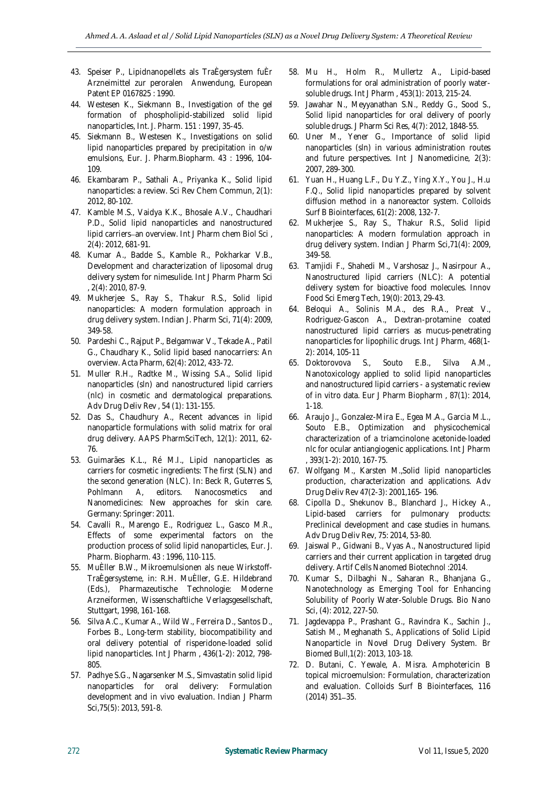- 43. Speiser P., Lipidnanopellets als TraÈgersystem fuÈr Arzneimittel zur peroralen Anwendung, European Patent EP 0167825 : 1990.
- 44. Westesen K., Siekmann B., Investigation of the gel formation of phospholipid-stabilized solid lipid nanoparticles, Int. J. Pharm. 151 : 1997, 35-45.
- 45. Siekmann B., Westesen K., Investigations on solid lipid nanoparticles prepared by precipitation in o/w emulsions, Eur. J. Pharm.Biopharm. 43 : 1996, 104- 109.
- 46. Ekambaram P., Sathali A., Priyanka K., Solid lipid nanoparticles: a review. Sci Rev Chem Commun, 2(1): 2012, 80-102.
- 47. Kamble M.S., Vaidya K.K., Bhosale A.V., Chaudhari P.D., Solid lipid nanoparticles and nanostructured lipid carriers-an overview. Int J Pharm chem Biol Sci, 2(4): 2012, 681-91.
- 48. Kumar A., Badde S., Kamble R., Pokharkar V.B., Development and characterization of liposomal drug delivery system for nimesulide. Int J Pharm Pharm Sci , 2(4): 2010, 87-9.
- 49. Mukherjee S., Ray S., Thakur R.S., Solid lipid nanoparticles: A modern formulation approach in drug delivery system. Indian J. Pharm Sci, 71(4): 2009, 349-58.
- 50. Pardeshi C., Rajput P., Belgamwar V., Tekade A., Patil G., Chaudhary K., Solid lipid based nanocarriers: An overview. Acta Pharm, 62(4): 2012, 433-72.
- 51. Muller R.H., Radtke M., Wissing S.A., Solid lipid nanoparticles (sln) and nanostructured lipid carriers (nlc) in cosmetic and dermatological preparations. Adv Drug Deliv Rev , 54 (1): 131-155.
- 52. Das S., Chaudhury A., Recent advances in lipid nanoparticle formulations with solid matrix for oral drug delivery. AAPS PharmSciTech, 12(1): 2011, 62- 76.
- 53. Guimarães K.L., Ré M.I., Lipid nanoparticles as carriers for cosmetic ingredients: The first (SLN) and the second generation (NLC). In: Beck R, Guterres S, Pohlmann A, editors. Nanocosmetics and Nanomedicines: New approaches for skin care. Germany: Springer: 2011.
- 54. Cavalli R., Marengo E., Rodriguez L., Gasco M.R., Effects of some experimental factors on the production process of solid lipid nanoparticles, Eur. J. Pharm. Biopharm. 43 : 1996, 110-115.
- 55. MuÈller B.W., Mikroemulsionen als neue Wirkstoff-TraÈgersysteme, in: R.H. MuÈller, G.E. Hildebrand (Eds.), Pharmazeutische Technologie: Moderne Arzneiformen, Wissenschaftliche Verlagsgesellschaft, Stuttgart, 1998, 161-168.
- 56. Silva A.C., Kumar A., Wild W., Ferreira D., Santos D., Forbes B., Long-term stability, biocompatibility and oral delivery potential of risperidone-loaded solid lipid nanoparticles. Int J Pharm , 436(1-2): 2012, 798- 805.
- 57. Padhye S.G., Nagarsenker M.S., Simvastatin solid lipid nanoparticles for oral delivery: Formulation development and in vivo evaluation. Indian J Pharm Sci,75(5): 2013, 591-8.
- 58. Mu H., Holm R., Mullertz A., Lipid-based formulations for oral administration of poorly watersoluble drugs. Int J Pharm , 453(1): 2013, 215-24.
- 59. Jawahar N., Meyyanathan S.N., Reddy G., Sood S., Solid lipid nanoparticles for oral delivery of poorly soluble drugs. J Pharm Sci Res, 4(7): 2012, 1848-55.
- 60. Uner M., Yener G., Importance of solid lipid nanoparticles (sln) in various administration routes and future perspectives. Int J Nanomedicine, 2(3): 2007, 289-300.
- 61. Yuan H., Huang L.F., Du Y.Z., Ying X.Y., You J., H.u F.Q., Solid lipid nanoparticles prepared by solvent diffusion method in a nanoreactor system. Colloids Surf B Biointerfaces, 61(2): 2008, 132-7.
- 62. Mukherjee S., Ray S., Thakur R.S., Solid lipid nanoparticles: A modern formulation approach in drug delivery system. Indian J Pharm Sci,71(4): 2009, 349-58.
- 63. Tamjidi F., Shahedi M., Varshosaz J., Nasirpour A., Nanostructured lipid carriers (NLC): A potential delivery system for bioactive food molecules. Innov Food Sci Emerg Tech, 19(0): 2013, 29-43.
- 64. Beloqui A., Solinis M.A., des R.A., Preat V., Rodriguez-Gascon A., Dextran-protamine coated nanostructured lipid carriers as mucus-penetrating nanoparticles for lipophilic drugs. Int J Pharm, 468(1- 2): 2014, 105-11
- 65. Doktorovova S., Souto E.B., Silva A.M., Nanotoxicology applied to solid lipid nanoparticles and nanostructured lipid carriers - a systematic review of in vitro data. Eur J Pharm Biopharm , 87(1): 2014, 1-18.
- 66. Araujo J., Gonzalez-Mira E., Egea M.A., Garcia M.L., Souto E.B., Optimization and physicochemical characterization of a triamcinolone acetonide-loaded nlc for ocular antiangiogenic applications. Int J Pharm , 393(1-2): 2010, 167-75.
- 67. Wolfgang M., Karsten M.,Solid lipid nanoparticles production, characterization and applications. Adv Drug Deliv Rev 47(2-3): 2001,165- 196.
- 68. Cipolla D., Shekunov B., Blanchard J., Hickey A., Lipid-based carriers for pulmonary products: Preclinical development and case studies in humans. Adv Drug Deliv Rev, 75: 2014, 53-80.
- 69. Jaiswal P., Gidwani B., Vyas A., Nanostructured lipid carriers and their current application in targeted drug delivery. Artif Cells Nanomed Biotechnol :2014.
- 70. Kumar S., Dilbaghi N., Saharan R., Bhanjana G., Nanotechnology as Emerging Tool for Enhancing Solubility of Poorly Water-Soluble Drugs. Bio Nano Sci, (4): 2012, 227-50.
- 71. Jagdevappa P., Prashant G., Ravindra K., Sachin J., Satish M., Meghanath S., Applications of Solid Lipid Nanoparticle in Novel Drug Delivery System. Br Biomed Bull,1(2): 2013, 103-18.
- 72. D. Butani, C. Yewale, A. Misra. Amphotericin B topical microemulsion: Formulation, characterization and evaluation. Colloids Surf B Biointerfaces, 116  $(2014)$  351-35.